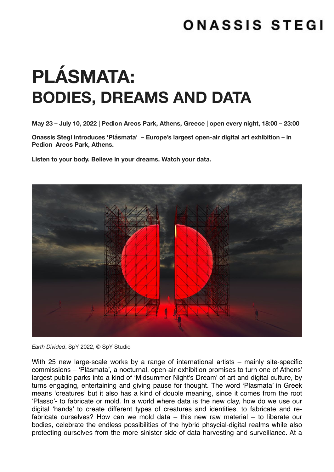## ONASSIS STEGI

# **PLÁSMATA: BODIES, DREAMS AND DATA**

**May 23 – July 10, 2022 | Pedion Areos Park, Athens, Greece | open every night, 18:00 – 23:00**

**Onassis Stegi introduces 'Plásmata' – Europe's largest open-air digital art exhibition – in Pedion Areos Park, Athens.** 

**Listen to your body. Believe in your dreams. Watch your data.** 



*Earth Divided*, SpY 2022, © SpY Studio

With 25 new large-scale works by a range of international artists – mainly site-specific commissions – 'Plásmata', a nocturnal, open-air exhibition promises to turn one of Athens' largest public parks into a kind of 'Midsummer Night's Dream' of art and digital culture, by turns engaging, entertaining and giving pause for thought. The word 'Plasmata' in Greek means 'creatures' but it also has a kind of double meaning, since it comes from the root 'Plasso'- to fabricate or mold. In a world where data is the new clay, how do we use our digital 'hands' to create different types of creatures and identities, to fabricate and refabricate ourselves? How can we mold data – this new raw material – to liberate our bodies, celebrate the endless possibilities of the hybrid phsycial-digital realms while also protecting ourselves from the more sinister side of data harvesting and surveillance. At a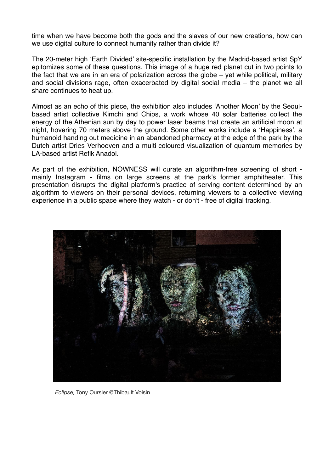time when we have become both the gods and the slaves of our new creations, how can we use digital culture to connect humanity rather than divide it?

The 20-meter high 'Earth Divided' site-specific installation by the Madrid-based artist SpY epitomizes some of these questions. This image of a huge red planet cut in two points to the fact that we are in an era of polarization across the globe – yet while political, military and social divisions rage, often exacerbated by digital social media – the planet we all share continues to heat up.

Almost as an echo of this piece, the exhibition also includes 'Another Moon' by the Seoulbased artist collective Kimchi and Chips, a work whose 40 solar batteries collect the energy of the Athenian sun by day to power laser beams that create an artificial moon at night, hovering 70 meters above the ground. Some other works include a 'Happiness', a humanoid handing out medicine in an abandoned pharmacy at the edge of the park by the Dutch artist Dries Verhoeven and a multi-coloured visualization of quantum memories by LA-based artist Refik Anadol.

As part of the exhibition, NOWNESS will curate an algorithm-free screening of short mainly Instagram - films on large screens at the park's former amphitheater. This presentation disrupts the digital platform's practice of serving content determined by an algorithm to viewers on their personal devices, returning viewers to a collective viewing experience in a public space where they watch - or don't - free of digital tracking.



*Eclipse,* Tony Oursler @Thibault Voisin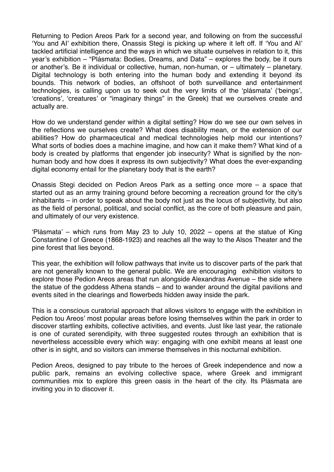Returning to Pedion Areos Park for a second year, and following on from the successful 'You and AI' exhibition there, Onassis Stegi is picking up where it left off. If 'You and AI' tackled artificial intelligence and the ways in which we situate ourselves in relation to it, this year's exhibition – "Plásmata: Bodies, Dreams, and Data" – explores the body, be it ours or another's. Be it individual or collective, human, non-human, or – ultimately – planetary. Digital technology is both entering into the human body and extending it beyond its bounds. This network of bodies, an offshoot of both surveillance and entertainment technologies, is calling upon us to seek out the very limits of the 'plásmata' ('beings', 'creations', 'creatures' or "imaginary things" in the Greek) that we ourselves create and actually are.

How do we understand gender within a digital setting? How do we see our own selves in the reflections we ourselves create? What does disability mean, or the extension of our abilities? How do pharmaceutical and medical technologies help mold our intentions? What sorts of bodies does a machine imagine, and how can it make them? What kind of a body is created by platforms that engender job insecurity? What is signified by the nonhuman body and how does it express its own subjectivity? What does the ever-expanding digital economy entail for the planetary body that is the earth?

Onassis Stegi decided on Pedion Areos Park as a setting once more – a space that started out as an army training ground before becoming a recreation ground for the city's inhabitants – in order to speak about the body not just as the locus of subjectivity, but also as the field of personal, political, and social conflict, as the core of both pleasure and pain, and ultimately of our very existence.

'Plásmata' – which runs from May 23 to July 10, 2022 – opens at the statue of King Constantine I of Greece (1868-1923) and reaches all the way to the Alsos Theater and the pine forest that lies beyond.

This year, the exhibition will follow pathways that invite us to discover parts of the park that are not generally known to the general public. We are encouraging exhibition visitors to explore those Pedion Areos areas that run alongside Alexandras Avenue – the side where the statue of the goddess Athena stands – and to wander around the digital pavilions and events sited in the clearings and flowerbeds hidden away inside the park.

This is a conscious curatorial approach that allows visitors to engage with the exhibition in Pedion tou Areos' most popular areas before losing themselves within the park in order to discover startling exhibits, collective activities, and events. Just like last year, the rationale is one of curated serendipity, with three suggested routes through an exhibition that is nevertheless accessible every which way: engaging with one exhibit means at least one other is in sight, and so visitors can immerse themselves in this nocturnal exhibition.

Pedion Areos, designed to pay tribute to the heroes of Greek independence and now a public park, remains an evolving collective space, where Greek and immigrant communities mix to explore this green oasis in the heart of the city. Its Plásmata are inviting you in to discover it.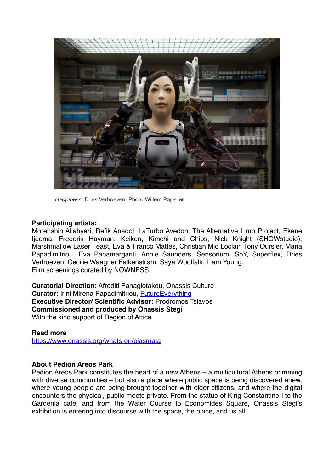

*Happiness,* Dries Verhoeven. Photo Willem Popelier

#### **Participating artists:**

Morehshin Allahyari, Refik Anadol, LaTurbo Avedon, The Alternative Limb Project, Ekene Ijeoma, Frederik Hayman, Keiken, Kimchi and Chips, Nick Knight (SHOWstudio), Marshmallow Laser Feast, Eva & Franco Mattes, Christian Mio Loclair, Tony Oursler, Maria Papadimitriou, Eva Papamargariti, Annie Saunders, Sensorium, SpY, Superflex, Dries Verhoeven, Cecilie Waagner Falkenstrøm, Saya Woolfalk, Liam Young. Film screenings curated by NOWNESS.

**Curatorial Direction:** Afroditi Panagiotakou, Onassis Culture **Curator:** Irini Mirena Papadimitriou, [FutureEverything](https://futureeverything.org/) **Executive Director/ Scientific Advisor:** Prodromos Tsiavos **Commissioned and produced by Onassis Stegi** With the kind support of Region of Attica

#### **Read more**

<https://www.onassis.org/whats-on/plasmata>

#### **About Pedion Areos Park**

Pedion Areos Park constitutes the heart of a new Athens – a multicultural Athens brimming with diverse communities – but also a place where public space is being discovered anew, where young people are being brought together with older citizens, and where the digital encounters the physical, public meets private. From the statue of King Constantine I to the Gardenia café, and from the Water Course to Economides Square, Onassis Stegi's exhibition is entering into discourse with the space, the place, and us all.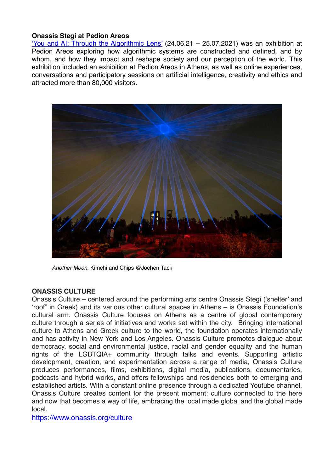#### **Onassis Stegi at Pedion Areos**

['You and AI: Through the Algorithmic Lens'](https://www.onassis.org/whats-on/festival-you-and-ai-through-the-algorithmic-lens) (24.06.21 – 25.07.2021) was an exhibition at Pedion Areos exploring how algorithmic systems are constructed and defined, and by whom, and how they impact and reshape society and our perception of the world. This exhibition included an exhibition at Pedion Areos in Athens, as well as online experiences, conversations and participatory sessions on artificial intelligence, creativity and ethics and attracted more than 80,000 visitors.



*Another Moon*, Kimchi and Chips @Jochen Tack

#### **ONASSIS CULTURE**

Onassis Culture – centered around the performing arts centre Onassis Stegi ('shelter' and 'roof" in Greek) and its various other cultural spaces in Athens – is Onassis Foundation's cultural arm. Onassis Culture focuses on Athens as a centre of global contemporary culture through a series of initiatives and works set within the city. Bringing international culture to Athens and Greek culture to the world, the foundation operates internationally and has activity in New York and Los Angeles. Onassis Culture promotes dialogue about democracy, social and environmental justice, racial and gender equality and the human rights of the LGBTQIA+ community through talks and events. Supporting artistic development, creation, and experimentation across a range of media, Onassis Culture produces performances, films, exhibitions, digital media, publications, documentaries, podcasts and hybrid works, and offers fellowships and residencies both to emerging and established artists. With a constant online presence through a dedicated Youtube channel, Onassis Culture creates content for the present moment: culture connected to the here and now that becomes a way of life, embracing the local made global and the global made local.

<https://www.onassis.org/culture>